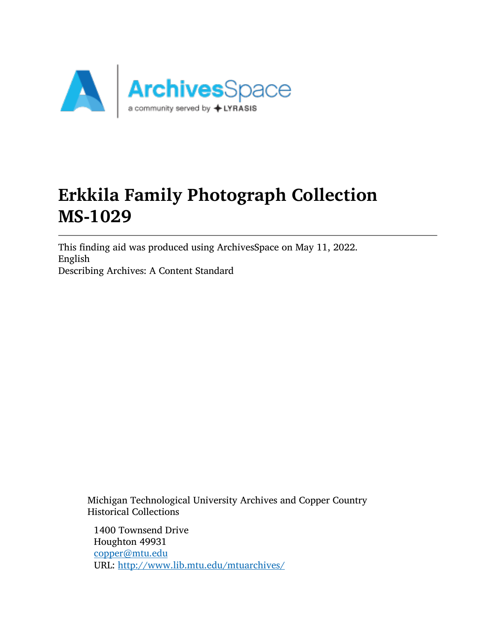

# Erkkila Family Photograph Collection MS-1029

This finding aid was produced using ArchivesSpace on May 11, 2022. English Describing Archives: A Content Standard

Michigan Technological University Archives and Copper Country Historical Collections

1400 Townsend Drive Houghton 49931 [copper@mtu.edu](mailto:copper@mtu.edu) URL: <http://www.lib.mtu.edu/mtuarchives/>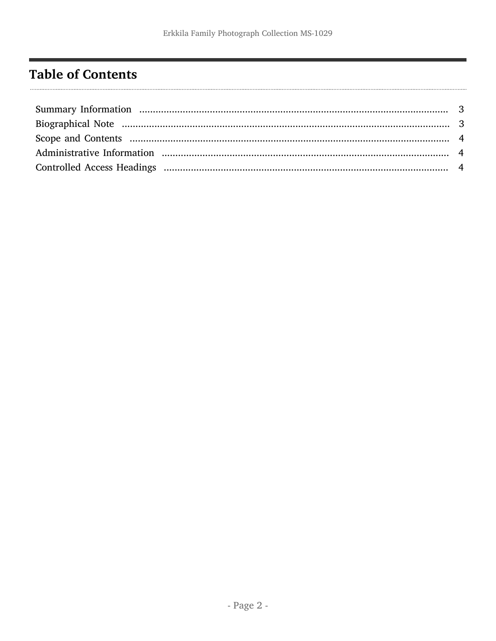## <span id="page-1-0"></span>**Table of Contents**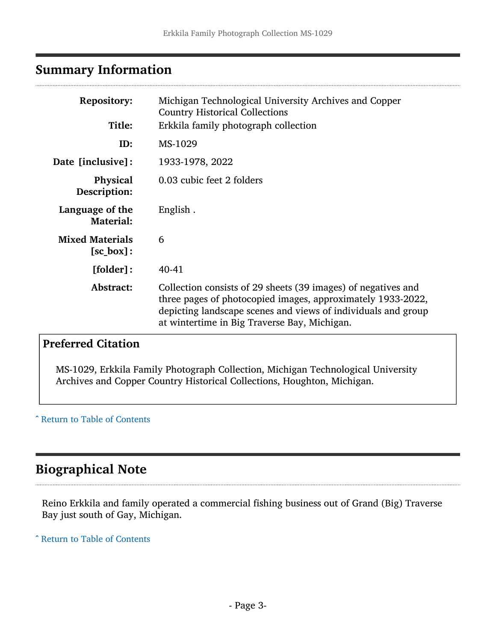## <span id="page-2-0"></span>Summary Information

| <b>Repository:</b><br>Title:                  | Michigan Technological University Archives and Copper<br><b>Country Historical Collections</b><br>Erkkila family photograph collection                                                                                                        |
|-----------------------------------------------|-----------------------------------------------------------------------------------------------------------------------------------------------------------------------------------------------------------------------------------------------|
| ID:                                           | MS-1029                                                                                                                                                                                                                                       |
| Date [inclusive]:                             | 1933-1978, 2022                                                                                                                                                                                                                               |
| <b>Physical</b><br>Description:               | 0.03 cubic feet 2 folders                                                                                                                                                                                                                     |
| Language of the<br><b>Material:</b>           | English.                                                                                                                                                                                                                                      |
| <b>Mixed Materials</b><br>$[sc_{\theta}box]:$ | 6                                                                                                                                                                                                                                             |
| [folder]:                                     | 40-41                                                                                                                                                                                                                                         |
| Abstract:                                     | Collection consists of 29 sheets (39 images) of negatives and<br>three pages of photocopied images, approximately 1933-2022,<br>depicting landscape scenes and views of individuals and group<br>at wintertime in Big Traverse Bay, Michigan. |

#### Preferred Citation

MS-1029, Erkkila Family Photograph Collection, Michigan Technological University Archives and Copper Country Historical Collections, Houghton, Michigan.

#### ^ [Return to Table of Contents](#page-1-0)

## <span id="page-2-1"></span>Biographical Note

Reino Erkkila and family operated a commercial fishing business out of Grand (Big) Traverse Bay just south of Gay, Michigan.

#### ^ [Return to Table of Contents](#page-1-0)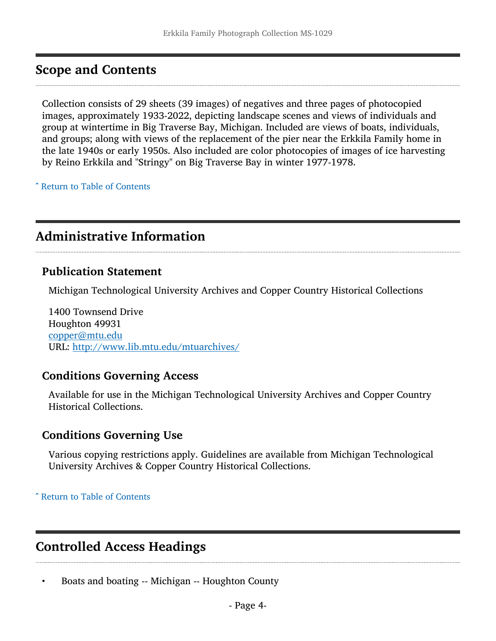#### <span id="page-3-0"></span>Scope and Contents

Collection consists of 29 sheets (39 images) of negatives and three pages of photocopied images, approximately 1933-2022, depicting landscape scenes and views of individuals and group at wintertime in Big Traverse Bay, Michigan. Included are views of boats, individuals, and groups; along with views of the replacement of the pier near the Erkkila Family home in the late 1940s or early 1950s. Also included are color photocopies of images of ice harvesting by Reino Erkkila and "Stringy" on Big Traverse Bay in winter 1977-1978.

^ [Return to Table of Contents](#page-1-0)

### <span id="page-3-1"></span>Administrative Information

#### Publication Statement

Michigan Technological University Archives and Copper Country Historical Collections

1400 Townsend Drive Houghton 49931 [copper@mtu.edu](mailto:copper@mtu.edu) URL: <http://www.lib.mtu.edu/mtuarchives/>

#### Conditions Governing Access

Available for use in the Michigan Technological University Archives and Copper Country Historical Collections.

#### Conditions Governing Use

Various copying restrictions apply. Guidelines are available from Michigan Technological University Archives & Copper Country Historical Collections.

^ [Return to Table of Contents](#page-1-0)

## <span id="page-3-2"></span>Controlled Access Headings

• Boats and boating -- Michigan -- Houghton County